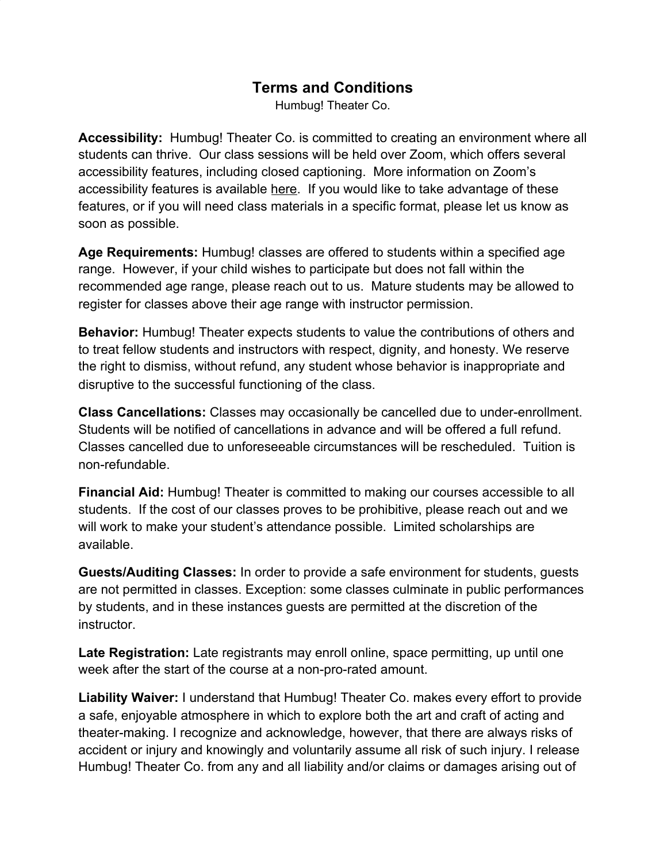## **Terms and Conditions**

Humbug! Theater Co.

**Accessibility:** Humbug! Theater Co. is committed to creating an environment where all students can thrive. Our class sessions will be held over Zoom, which offers several accessibility features, including closed captioning. More information on Zoom's accessibility features is available [here.](https://zoom.us/accessibility) If you would like to take advantage of these features, or if you will need class materials in a specific format, please let us know as soon as possible.

**Age Requirements:** Humbug! classes are offered to students within a specified age range. However, if your child wishes to participate but does not fall within the recommended age range, please reach out to us. Mature students may be allowed to register for classes above their age range with instructor permission.

**Behavior:** Humbug! Theater expects students to value the contributions of others and to treat fellow students and instructors with respect, dignity, and honesty. We reserve the right to dismiss, without refund, any student whose behavior is inappropriate and disruptive to the successful functioning of the class.

**Class Cancellations:** Classes may occasionally be cancelled due to under-enrollment. Students will be notified of cancellations in advance and will be offered a full refund. Classes cancelled due to unforeseeable circumstances will be rescheduled. Tuition is non-refundable.

**Financial Aid:** Humbug! Theater is committed to making our courses accessible to all students. If the cost of our classes proves to be prohibitive, please reach out and we will work to make your student's attendance possible. Limited scholarships are available.

**Guests/Auditing Classes:** In order to provide a safe environment for students, guests are not permitted in classes. Exception: some classes culminate in public performances by students, and in these instances guests are permitted at the discretion of the instructor.

Late Registration: Late registrants may enroll online, space permitting, up until one week after the start of the course at a non-pro-rated amount.

**Liability Waiver:** I understand that Humbug! Theater Co. makes every effort to provide a safe, enjoyable atmosphere in which to explore both the art and craft of acting and theater-making. I recognize and acknowledge, however, that there are always risks of accident or injury and knowingly and voluntarily assume all risk of such injury. I release Humbug! Theater Co. from any and all liability and/or claims or damages arising out of